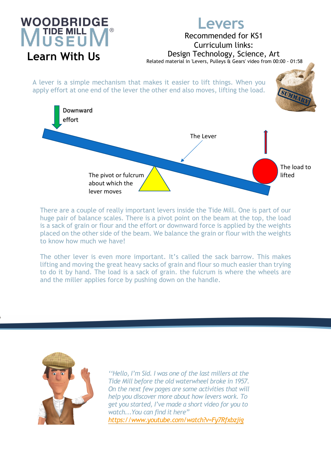

## **Levers**

## Recommended for KS1 Curriculum links: Learn With Us<br>**Related material in 'Levers, Pulleys & Gears' video from 00:00 - 01:58**

A lever is a simple mechanism that makes it easier to lift things. When you apply effort at one end of the lever the other end also moves, lifting the load.



There are a couple of really important levers inside the Tide Mill. One is part of our huge pair of balance scales. There is a pivot point on the beam at the top, the load is a sack of grain or flour and the effort or downward force is applied by the weights placed on the other side of the beam. We balance the grain or flour with the weights to know how much we have!

The other lever is even more important. It's called the sack barrow. This makes lifting and moving the great heavy sacks of grain and flour so much easier than trying to do it by hand. The load is a sack of grain. the fulcrum is where the wheels are and the miller applies force by pushing down on the handle.



*''Hello, I'm Sid. I was one of the last millers at the Tide Mill before the old waterwheel broke in 1957. On the next few pages are some activities that will help you discover more about how levers work. To get you started, I've made a short video for you to watch...You can find it here" <https://www.youtube.com/watch?v=Fy7Rfxbzjig>*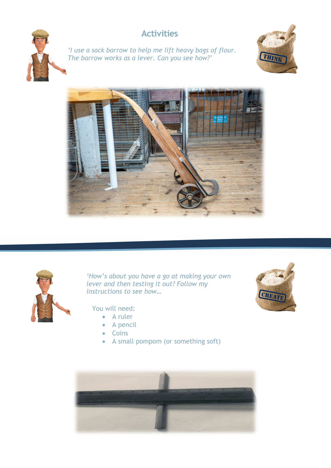## **Activities**



*'I use a sack barrow to help me lift heavy bags of flour. The barrow works as a lever. Can you see how?'*







*'How's about you have a go at making your own lever and then testing it out? Follow my instructions to see how…*



- A ruler
- A pencil
- Coins
- A small pompom (or something soft)



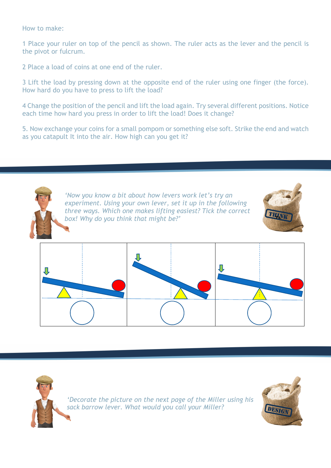How to make:

1 Place your ruler on top of the pencil as shown. The ruler acts as the lever and the pencil is the pivot or fulcrum.

2 Place a load of coins at one end of the ruler.

3 Lift the load by pressing down at the opposite end of the ruler using one finger (the force). How hard do you have to press to lift the load?

4 Change the position of the pencil and lift the load again. Try several different positions. Notice each time how hard you press in order to lift the load! Does it change?

5. Now exchange your coins for a small pompom or something else soft. Strike the end and watch as you catapult It into the air. How high can you get it?



*'Now you know a bit about how levers work let's try an experiment. Using your own lever, set it up in the following three ways. Which one makes lifting easiest? Tick the correct box! Why do you think that might be?'*





*'Decorate the picture on the next page of the Miller using his sack barrow lever. What would you call your Miller?*